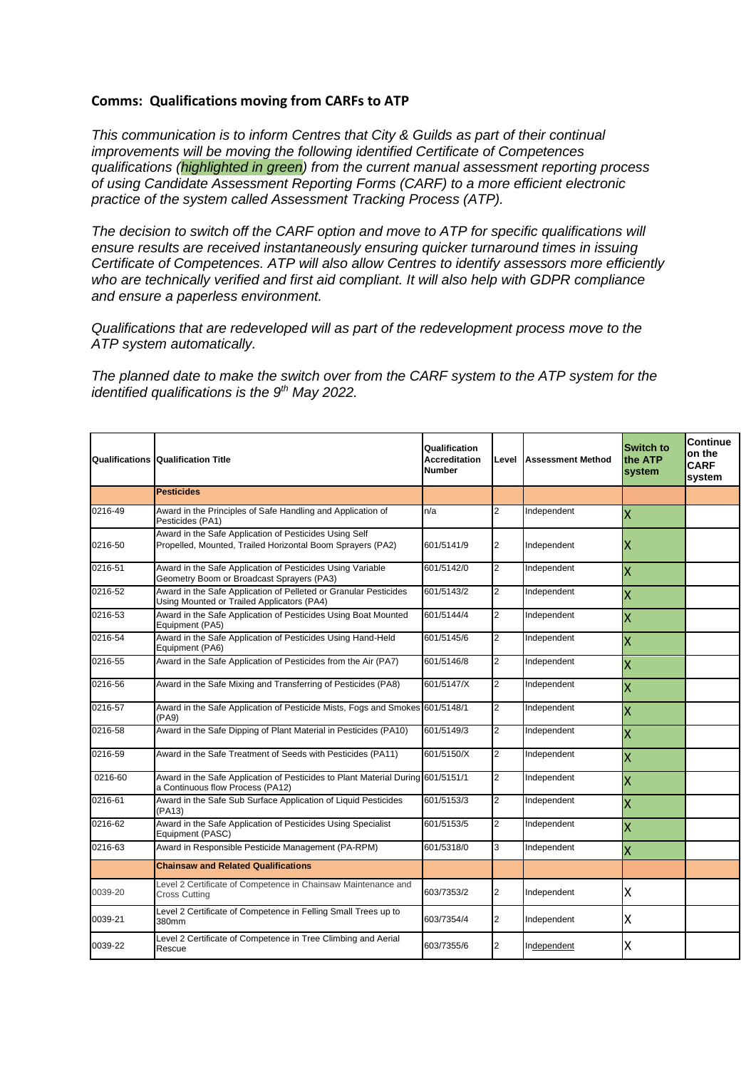## **Comms: Qualifications moving from CARFs to ATP**

*This communication is to inform Centres that City & Guilds as part of their continual improvements will be moving the following identified Certificate of Competences qualifications (highlighted in green) from the current manual assessment reporting process of using Candidate Assessment Reporting Forms (CARF) to a more efficient electronic practice of the system called Assessment Tracking Process (ATP).*

*The decision to switch off the CARF option and move to ATP for specific qualifications will ensure results are received instantaneously ensuring quicker turnaround times in issuing Certificate of Competences. ATP will also allow Centres to identify assessors more efficiently who are technically verified and first aid compliant. It will also help with GDPR compliance and ensure a paperless environment.* 

*Qualifications that are redeveloped will as part of the redevelopment process move to the ATP system automatically.* 

*The planned date to make the switch over from the CARF system to the ATP system for the identified qualifications is the 9th May 2022.* 

|             | <b>Qualifications Qualification Title</b>                                                                            | Qualification<br><b>Accreditation</b><br><b>Number</b> | Level          | <b>Assessment Method</b> | <b>Switch to</b><br>the ATP<br>system | Continue<br>on the<br><b>CARF</b><br>system |
|-------------|----------------------------------------------------------------------------------------------------------------------|--------------------------------------------------------|----------------|--------------------------|---------------------------------------|---------------------------------------------|
|             | <b>Pesticides</b>                                                                                                    |                                                        |                |                          |                                       |                                             |
| 0216-49     | Award in the Principles of Safe Handling and Application of<br>Pesticides (PA1)                                      | n/a                                                    | 2              | Independent              | X                                     |                                             |
| 0216-50     | Award in the Safe Application of Pesticides Using Self<br>Propelled, Mounted, Trailed Horizontal Boom Sprayers (PA2) | 601/5141/9                                             | 2              | Independent              | ΙX                                    |                                             |
| 0216-51     | Award in the Safe Application of Pesticides Using Variable<br>Geometry Boom or Broadcast Sprayers (PA3)              | 601/5142/0                                             | $\overline{2}$ | Independent              | ΙX                                    |                                             |
| 0216-52     | Award in the Safe Application of Pelleted or Granular Pesticides<br>Using Mounted or Trailed Applicators (PA4)       | 601/5143/2                                             | $\overline{2}$ | Independent              | X                                     |                                             |
| 0216-53     | Award in the Safe Application of Pesticides Using Boat Mounted<br>Equipment (PA5)                                    | 601/5144/4                                             | $\overline{2}$ | Independent              | X                                     |                                             |
| 0216-54     | Award in the Safe Application of Pesticides Using Hand-Held<br>Equipment (PA6)                                       | 601/5145/6                                             | $\overline{2}$ | Independent              | X                                     |                                             |
| 0216-55     | Award in the Safe Application of Pesticides from the Air (PA7)                                                       | 601/5146/8                                             | $\overline{2}$ | Independent              | X                                     |                                             |
| 0216-56     | Award in the Safe Mixing and Transferring of Pesticides (PA8)                                                        | 601/5147/X                                             | $\overline{2}$ | Independent              | X                                     |                                             |
| 0216-57     | Award in the Safe Application of Pesticide Mists, Fogs and Smokes 601/5148/1<br>(PA9)                                |                                                        | $\overline{2}$ | Independent              | Χ                                     |                                             |
| 0216-58     | Award in the Safe Dipping of Plant Material in Pesticides (PA10)                                                     | 601/5149/3                                             | $\overline{2}$ | Independent              | X                                     |                                             |
| 0216-59     | Award in the Safe Treatment of Seeds with Pesticides (PA11)                                                          | 601/5150/X                                             | $\overline{2}$ | Independent              | X                                     |                                             |
| 0216-60     | Award in the Safe Application of Pesticides to Plant Material During 601/5151/1<br>a Continuous flow Process (PA12)  |                                                        | $\overline{2}$ | Independent              | X                                     |                                             |
| $0216 - 61$ | Award in the Safe Sub Surface Application of Liquid Pesticides<br>(PA13)                                             | 601/5153/3                                             | $\overline{2}$ | Independent              | X                                     |                                             |
| 0216-62     | Award in the Safe Application of Pesticides Using Specialist<br>Equipment (PASC)                                     | 601/5153/5                                             | $\overline{2}$ | Independent              | X                                     |                                             |
| 0216-63     | Award in Responsible Pesticide Management (PA-RPM)                                                                   | 601/5318/0                                             | 3              | Independent              | X                                     |                                             |
|             | <b>Chainsaw and Related Qualifications</b>                                                                           |                                                        |                |                          |                                       |                                             |
| 0039-20     | Level 2 Certificate of Competence in Chainsaw Maintenance and<br><b>Cross Cutting</b>                                | 603/7353/2                                             | 2              | Independent              | Χ                                     |                                             |
| 0039-21     | Level 2 Certificate of Competence in Felling Small Trees up to<br>380mm                                              | 603/7354/4                                             | $\overline{2}$ | Independent              | Χ                                     |                                             |
| 0039-22     | Level 2 Certificate of Competence in Tree Climbing and Aerial<br>Rescue                                              | 603/7355/6                                             | $\overline{2}$ | Independent              | Χ                                     |                                             |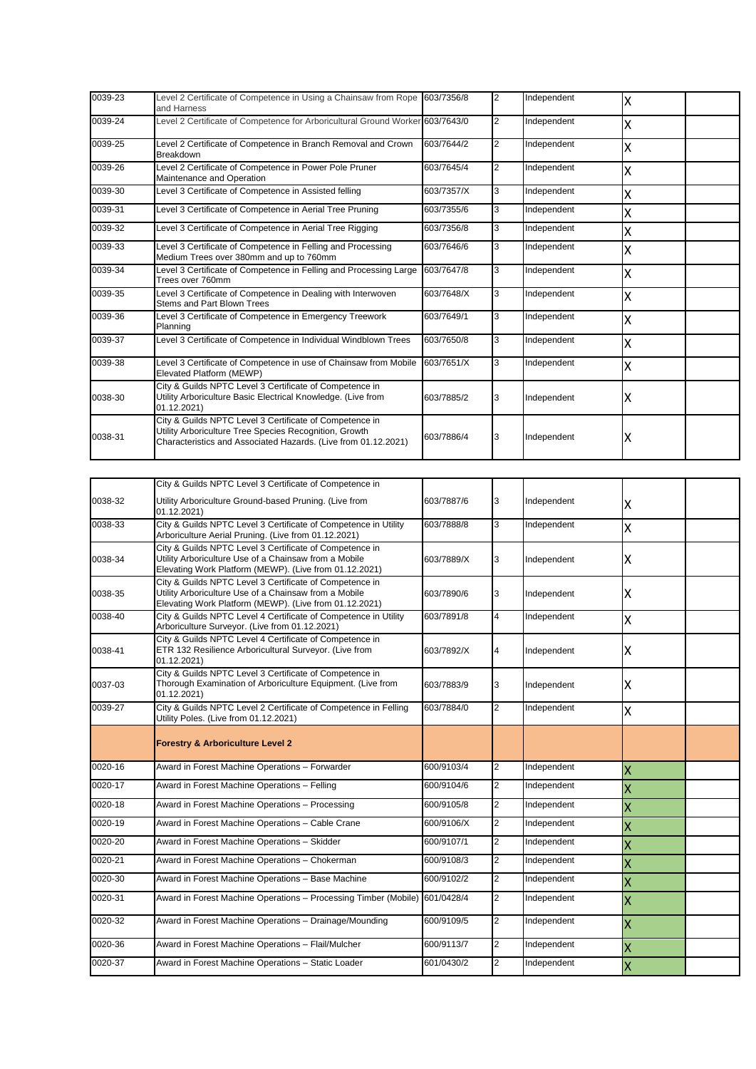| 0039-23 | Level 2 Certificate of Competence in Using a Chainsaw from Rope 603/7356/8<br>and Harness                                                                                           |            | I2             | Independent | ΙX |  |
|---------|-------------------------------------------------------------------------------------------------------------------------------------------------------------------------------------|------------|----------------|-------------|----|--|
| 0039-24 | Level 2 Certificate of Competence for Arboricultural Ground Worker 603/7643/0                                                                                                       |            | <b>2</b>       | Independent | Ιx |  |
| 0039-25 | Level 2 Certificate of Competence in Branch Removal and Crown<br>Breakdown                                                                                                          | 603/7644/2 | $\overline{2}$ | Independent | Ιx |  |
| 0039-26 | Level 2 Certificate of Competence in Power Pole Pruner<br>Maintenance and Operation                                                                                                 | 603/7645/4 | $\overline{2}$ | Independent | X  |  |
| 0039-30 | Level 3 Certificate of Competence in Assisted felling                                                                                                                               | 603/7357/X | 3              | Independent | X  |  |
| 0039-31 | Level 3 Certificate of Competence in Aerial Tree Pruning                                                                                                                            | 603/7355/6 | 3              | Independent | X  |  |
| 0039-32 | Level 3 Certificate of Competence in Aerial Tree Rigging                                                                                                                            | 603/7356/8 | 3              | Independent | Χ  |  |
| 0039-33 | Level 3 Certificate of Competence in Felling and Processing<br>Medium Trees over 380mm and up to 760mm                                                                              | 603/7646/6 | 3              | Independent | X  |  |
| 0039-34 | Level 3 Certificate of Competence in Felling and Processing Large<br>Trees over 760mm                                                                                               | 603/7647/8 | 3              | Independent | ΙX |  |
| 0039-35 | Level 3 Certificate of Competence in Dealing with Interwoven<br>Stems and Part Blown Trees                                                                                          | 603/7648/X | 3              | Independent | X  |  |
| 0039-36 | Level 3 Certificate of Competence in Emergency Treework<br>Planning                                                                                                                 | 603/7649/1 | 3              | Independent | Ιx |  |
| 0039-37 | Level 3 Certificate of Competence in Individual Windblown Trees                                                                                                                     | 603/7650/8 | 3              | Independent | X  |  |
| 0039-38 | Level 3 Certificate of Competence in use of Chainsaw from Mobile<br>Elevated Platform (MEWP)                                                                                        | 603/7651/X | 3              | Independent | Ιx |  |
| 0038-30 | City & Guilds NPTC Level 3 Certificate of Competence in<br>Utility Arboriculture Basic Electrical Knowledge. (Live from<br>01.12.2021)                                              | 603/7885/2 | 13             | Independent | Ιx |  |
| 0038-31 | City & Guilds NPTC Level 3 Certificate of Competence in<br>Utility Arboriculture Tree Species Recognition, Growth<br>Characteristics and Associated Hazards. (Live from 01.12.2021) | 603/7886/4 | 13             | Independent | Iχ |  |

|             | City & Guilds NPTC Level 3 Certificate of Competence in                                                                                                                    |            |                |             |                         |  |
|-------------|----------------------------------------------------------------------------------------------------------------------------------------------------------------------------|------------|----------------|-------------|-------------------------|--|
| 0038-32     | Utility Arboriculture Ground-based Pruning. (Live from<br>01.12.2021)                                                                                                      | 603/7887/6 | 3              | Independent | Χ                       |  |
| 0038-33     | City & Guilds NPTC Level 3 Certificate of Competence in Utility<br>Arboriculture Aerial Pruning. (Live from 01.12.2021)                                                    | 603/7888/8 | 3              | Independent | Χ                       |  |
| 0038-34     | City & Guilds NPTC Level 3 Certificate of Competence in<br>Utility Arboriculture Use of a Chainsaw from a Mobile<br>Elevating Work Platform (MEWP). (Live from 01.12.2021) | 603/7889/X | 3              | Independent | Χ                       |  |
| 0038-35     | City & Guilds NPTC Level 3 Certificate of Competence in<br>Utility Arboriculture Use of a Chainsaw from a Mobile<br>Elevating Work Platform (MEWP). (Live from 01.12.2021) | 603/7890/6 | 3              | Independent | X                       |  |
| 0038-40     | City & Guilds NPTC Level 4 Certificate of Competence in Utility<br>Arboriculture Surveyor. (Live from 01.12.2021)                                                          | 603/7891/8 | 4              | Independent | X                       |  |
| 0038-41     | City & Guilds NPTC Level 4 Certificate of Competence in<br>ETR 132 Resilience Arboricultural Surveyor. (Live from<br>01.12.2021)                                           | 603/7892/X | 4              | Independent | x                       |  |
| 0037-03     | City & Guilds NPTC Level 3 Certificate of Competence in<br>Thorough Examination of Arboriculture Equipment. (Live from<br>01.12.2021)                                      | 603/7883/9 | 3              | Independent | Χ                       |  |
| 0039-27     | City & Guilds NPTC Level 2 Certificate of Competence in Felling<br>Utility Poles. (Live from 01.12.2021)                                                                   | 603/7884/0 | $\overline{2}$ | Independent | Χ                       |  |
|             | <b>Forestry &amp; Arboriculture Level 2</b>                                                                                                                                |            |                |             |                         |  |
| 0020-16     | Award in Forest Machine Operations - Forwarder                                                                                                                             | 600/9103/4 | $\overline{2}$ | Independent | X                       |  |
| 0020-17     | Award in Forest Machine Operations - Felling                                                                                                                               | 600/9104/6 | $\overline{2}$ | Independent | X                       |  |
| 0020-18     | Award in Forest Machine Operations - Processing                                                                                                                            | 600/9105/8 | $\overline{2}$ | Independent | X                       |  |
| 0020-19     | Award in Forest Machine Operations - Cable Crane                                                                                                                           | 600/9106/X | $\overline{2}$ | Independent | X                       |  |
| $0020 - 20$ | Award in Forest Machine Operations - Skidder                                                                                                                               | 600/9107/1 | $\overline{2}$ | Independent | X                       |  |
| 0020-21     | Award in Forest Machine Operations - Chokerman                                                                                                                             | 600/9108/3 | $\overline{2}$ | Independent | X                       |  |
| 0020-30     | Award in Forest Machine Operations - Base Machine                                                                                                                          | 600/9102/2 | $\overline{2}$ | Independent | X                       |  |
| 0020-31     | Award in Forest Machine Operations - Processing Timber (Mobile) 601/0428/4                                                                                                 |            | $\overline{2}$ | Independent | X                       |  |
| 0020-32     | Award in Forest Machine Operations - Drainage/Mounding                                                                                                                     | 600/9109/5 | $\overline{2}$ | Independent | X                       |  |
| 0020-36     | Award in Forest Machine Operations - Flail/Mulcher                                                                                                                         | 600/9113/7 | $\overline{2}$ | Independent | X                       |  |
| 0020-37     | Award in Forest Machine Operations - Static Loader                                                                                                                         | 601/0430/2 | $\overline{2}$ | Independent | $\overline{\mathsf{x}}$ |  |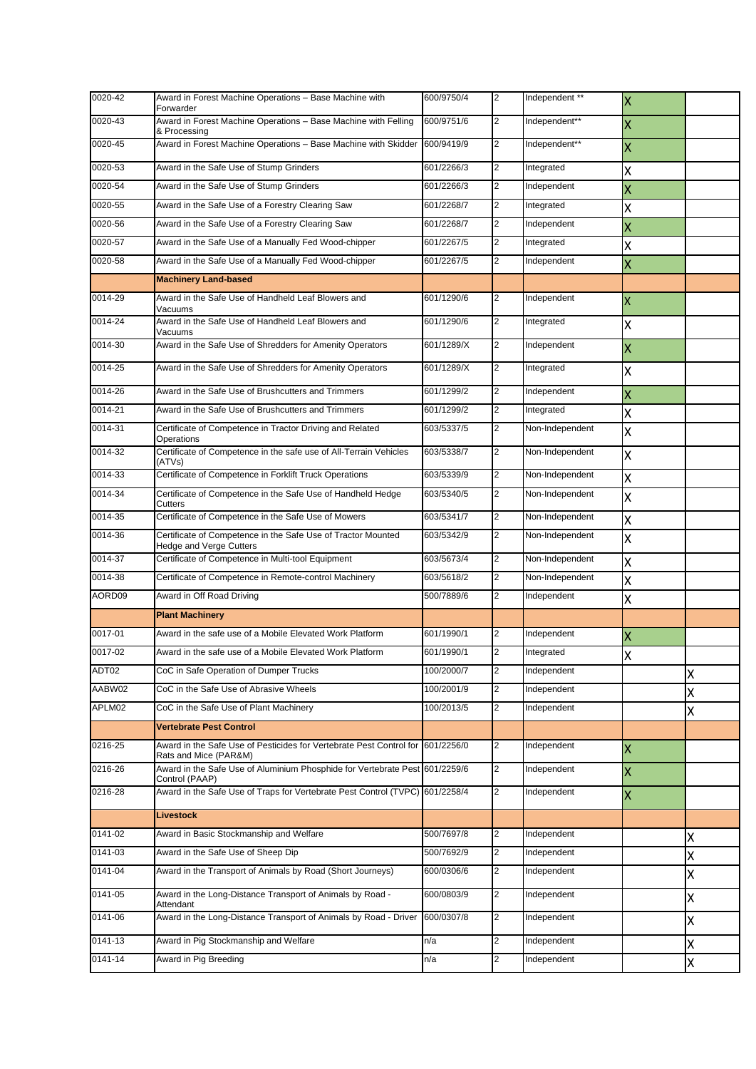| 0020-42 | Award in Forest Machine Operations - Base Machine with<br>Forwarder                           | 600/9750/4 | $\overline{2}$ | Independent **  | $\overline{\mathsf{x}}$   |   |
|---------|-----------------------------------------------------------------------------------------------|------------|----------------|-----------------|---------------------------|---|
| 0020-43 | Award in Forest Machine Operations - Base Machine with Felling<br>& Processing                | 600/9751/6 | 2              | Independent**   | $\boldsymbol{\mathsf{X}}$ |   |
| 0020-45 | Award in Forest Machine Operations - Base Machine with Skidder                                | 600/9419/9 | $\overline{2}$ | Independent**   | $\boldsymbol{\mathsf{X}}$ |   |
| 0020-53 | Award in the Safe Use of Stump Grinders                                                       | 601/2266/3 | $\overline{2}$ | Integrated      | Χ                         |   |
| 0020-54 | Award in the Safe Use of Stump Grinders                                                       | 601/2266/3 | $\overline{2}$ | Independent     | X                         |   |
| 0020-55 | Award in the Safe Use of a Forestry Clearing Saw                                              | 601/2268/7 | $\overline{2}$ | Integrated      | Χ                         |   |
| 0020-56 | Award in the Safe Use of a Forestry Clearing Saw                                              | 601/2268/7 | $\overline{2}$ | Independent     | X                         |   |
| 0020-57 | Award in the Safe Use of a Manually Fed Wood-chipper                                          | 601/2267/5 | $\overline{2}$ | Integrated      | Χ                         |   |
| 0020-58 | Award in the Safe Use of a Manually Fed Wood-chipper                                          | 601/2267/5 | 2              | Independent     | $\overline{\mathsf{x}}$   |   |
|         | <b>Machinery Land-based</b>                                                                   |            |                |                 |                           |   |
| 0014-29 | Award in the Safe Use of Handheld Leaf Blowers and<br>Vacuums                                 | 601/1290/6 | 2              | Independent     | X                         |   |
| 0014-24 | Award in the Safe Use of Handheld Leaf Blowers and<br>Vacuums                                 | 601/1290/6 | $\overline{2}$ | Integrated      | Χ                         |   |
| 0014-30 | Award in the Safe Use of Shredders for Amenity Operators                                      | 601/1289/X | 2              | Independent     | X                         |   |
| 0014-25 | Award in the Safe Use of Shredders for Amenity Operators                                      | 601/1289/X | $\overline{2}$ | Integrated      | Χ                         |   |
| 0014-26 | Award in the Safe Use of Brushcutters and Trimmers                                            | 601/1299/2 | $\overline{2}$ | Independent     | X                         |   |
| 0014-21 | Award in the Safe Use of Brushcutters and Trimmers                                            | 601/1299/2 | $\overline{2}$ | Integrated      | Χ                         |   |
| 0014-31 | Certificate of Competence in Tractor Driving and Related<br>Operations                        | 603/5337/5 | 2              | Non-Independent | X                         |   |
| 0014-32 | Certificate of Competence in the safe use of All-Terrain Vehicles<br>(ATVs)                   | 603/5338/7 | $\overline{2}$ | Non-Independent | Χ                         |   |
| 0014-33 | Certificate of Competence in Forklift Truck Operations                                        | 603/5339/9 | $\overline{2}$ | Non-Independent | X                         |   |
| 0014-34 | Certificate of Competence in the Safe Use of Handheld Hedge<br>Cutters                        | 603/5340/5 | $\overline{2}$ | Non-Independent | Χ                         |   |
| 0014-35 | Certificate of Competence in the Safe Use of Mowers                                           | 603/5341/7 | $\overline{2}$ | Non-Independent | Χ                         |   |
| 0014-36 | Certificate of Competence in the Safe Use of Tractor Mounted<br>Hedge and Verge Cutters       | 603/5342/9 | $\overline{2}$ | Non-Independent | Χ                         |   |
| 0014-37 | Certificate of Competence in Multi-tool Equipment                                             | 603/5673/4 | $\overline{2}$ | Non-Independent | Χ                         |   |
| 0014-38 | Certificate of Competence in Remote-control Machinery                                         | 603/5618/2 | $\overline{2}$ | Non-Independent | Χ                         |   |
| AORD09  | Award in Off Road Driving                                                                     | 500/7889/6 | 2              | Independent     | Χ                         |   |
|         | <b>Plant Machinery</b>                                                                        |            |                |                 |                           |   |
| 0017-01 | Award in the safe use of a Mobile Elevated Work Platform                                      | 601/1990/1 | 2              | Independent     | X                         |   |
| 0017-02 | Award in the safe use of a Mobile Elevated Work Platform                                      | 601/1990/1 | 2              | Integrated      | x                         |   |
| ADT02   | CoC in Safe Operation of Dumper Trucks                                                        | 100/2000/7 | $\overline{2}$ | Independent     |                           | X |
| AABW02  | CoC in the Safe Use of Abrasive Wheels                                                        | 100/2001/9 | $\overline{2}$ | Independent     |                           | X |
| APLM02  | CoC in the Safe Use of Plant Machinery                                                        | 100/2013/5 | $\overline{2}$ | Independent     |                           | Χ |
|         | <b>Vertebrate Pest Control</b>                                                                |            |                |                 |                           |   |
| 0216-25 | Award in the Safe Use of Pesticides for Vertebrate Pest Control for<br>Rats and Mice (PAR&M)  | 601/2256/0 | 2              | Independent     | X                         |   |
| 0216-26 | Award in the Safe Use of Aluminium Phosphide for Vertebrate Pest 601/2259/6<br>Control (PAAP) |            | 2              | Independent     | X                         |   |
| 0216-28 | Award in the Safe Use of Traps for Vertebrate Pest Control (TVPC) 601/2258/4                  |            | $\overline{2}$ | Independent     | X                         |   |
|         | Livestock                                                                                     |            |                |                 |                           |   |
| 0141-02 | Award in Basic Stockmanship and Welfare                                                       | 500/7697/8 | 2              | Independent     |                           | X |
| 0141-03 | Award in the Safe Use of Sheep Dip                                                            | 500/7692/9 | $\overline{2}$ | Independent     |                           | Χ |
| 0141-04 | Award in the Transport of Animals by Road (Short Journeys)                                    | 600/0306/6 | 2              | Independent     |                           | Χ |
| 0141-05 | Award in the Long-Distance Transport of Animals by Road -<br>Attendant                        | 600/0803/9 | $\overline{2}$ | Independent     |                           | Χ |
| 0141-06 | Award in the Long-Distance Transport of Animals by Road - Driver                              | 600/0307/8 | 2              | Independent     |                           | X |
| 0141-13 | Award in Pig Stockmanship and Welfare                                                         | n/a        | 2              | Independent     |                           | X |
| 0141-14 | Award in Pig Breeding                                                                         | n/a        | $\overline{2}$ | Independent     |                           | Χ |